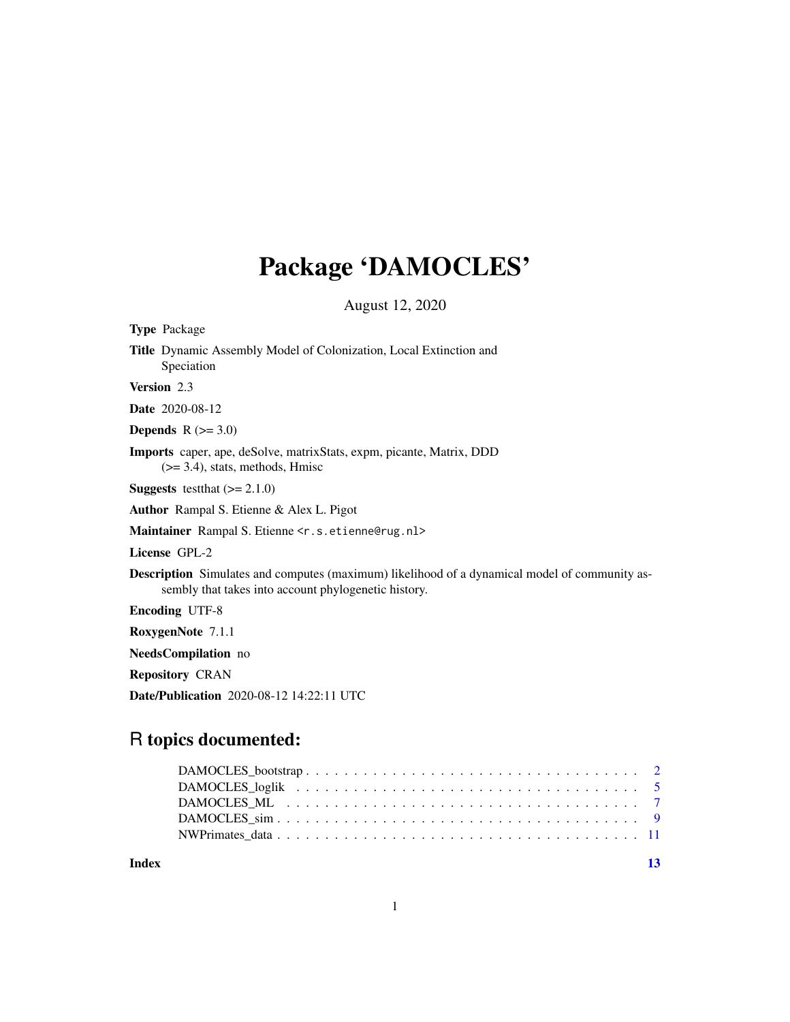## Package 'DAMOCLES'

August 12, 2020

| <b>Type Package</b>                                                                                                                                          |
|--------------------------------------------------------------------------------------------------------------------------------------------------------------|
| Title Dynamic Assembly Model of Colonization, Local Extinction and<br>Speciation                                                                             |
| <b>Version</b> 2.3                                                                                                                                           |
| <b>Date</b> 2020-08-12                                                                                                                                       |
| <b>Depends</b> $R (=3.0)$                                                                                                                                    |
| <b>Imports</b> caper, ape, deSolve, matrixStats, expm, picante, Matrix, DDD<br>$(>= 3.4)$ , stats, methods, Hmisc                                            |
| <b>Suggests</b> test that $(>= 2.1.0)$                                                                                                                       |
| Author Rampal S. Etienne & Alex L. Pigot                                                                                                                     |
| Maintainer Rampal S. Etienne <r.s.etienne@rug.nl></r.s.etienne@rug.nl>                                                                                       |
| License GPL-2                                                                                                                                                |
| <b>Description</b> Simulates and computes (maximum) likelihood of a dynamical model of community as-<br>sembly that takes into account phylogenetic history. |
| <b>Encoding UTF-8</b>                                                                                                                                        |
| RoxygenNote 7.1.1                                                                                                                                            |
| NeedsCompilation no                                                                                                                                          |
| <b>Repository CRAN</b>                                                                                                                                       |
| <b>Date/Publication</b> 2020-08-12 14:22:11 UTC                                                                                                              |

## R topics documented:

**Index** [13](#page-12-0)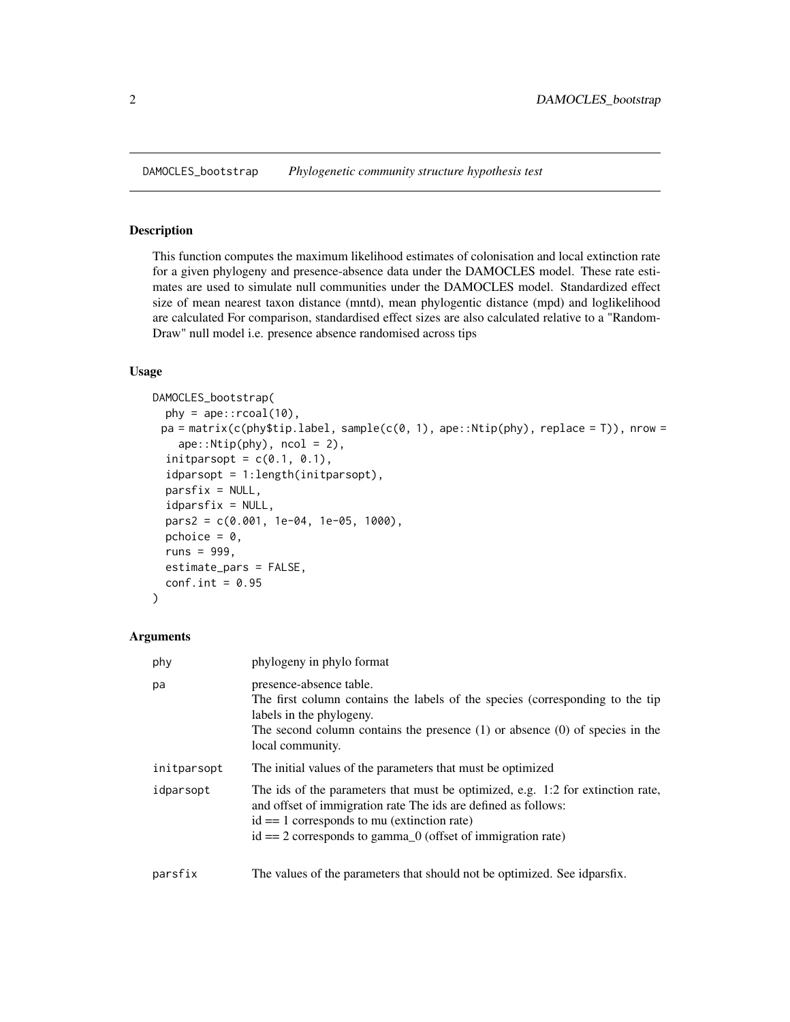<span id="page-1-0"></span>DAMOCLES\_bootstrap *Phylogenetic community structure hypothesis test*

#### Description

This function computes the maximum likelihood estimates of colonisation and local extinction rate for a given phylogeny and presence-absence data under the DAMOCLES model. These rate estimates are used to simulate null communities under the DAMOCLES model. Standardized effect size of mean nearest taxon distance (mntd), mean phylogentic distance (mpd) and loglikelihood are calculated For comparison, standardised effect sizes are also calculated relative to a "Random-Draw" null model i.e. presence absence randomised across tips

## Usage

```
DAMOCLES_bootstrap(
 phy = ape::recall(10),
 pa = matrix(c(phys)$tip.label, sample(c(0, 1), ape::Ntip(phy), replace = T)), nrow =
    ape::Ntip(phy), ncol = 2),
  initparsopt = c(0.1, 0.1),idparsopt = 1:length(initparsopt),
  partsfix = NULL,idparsfix = NULL,
  pars2 = c(0.001, 1e-04, 1e-05, 1000),
 pchoice = 0,
  runs = 999,
  estimate_pars = FALSE,
  conf.int = 0.95\mathcal{L}
```

| phy         | phylogeny in phylo format                                                                                                                                                                                                                                              |
|-------------|------------------------------------------------------------------------------------------------------------------------------------------------------------------------------------------------------------------------------------------------------------------------|
| pa          | presence-absence table.<br>The first column contains the labels of the species (corresponding to the tip<br>labels in the phylogeny.<br>The second column contains the presence $(1)$ or absence $(0)$ of species in the<br>local community.                           |
| initparsopt | The initial values of the parameters that must be optimized                                                                                                                                                                                                            |
| idparsopt   | The ids of the parameters that must be optimized, e.g. 1:2 for extinction rate,<br>and offset of immigration rate The ids are defined as follows:<br>$id == 1$ corresponds to mu (extinction rate)<br>$id == 2$ corresponds to gamma $_0$ (offset of immigration rate) |
| parsfix     | The values of the parameters that should not be optimized. See idparsfix.                                                                                                                                                                                              |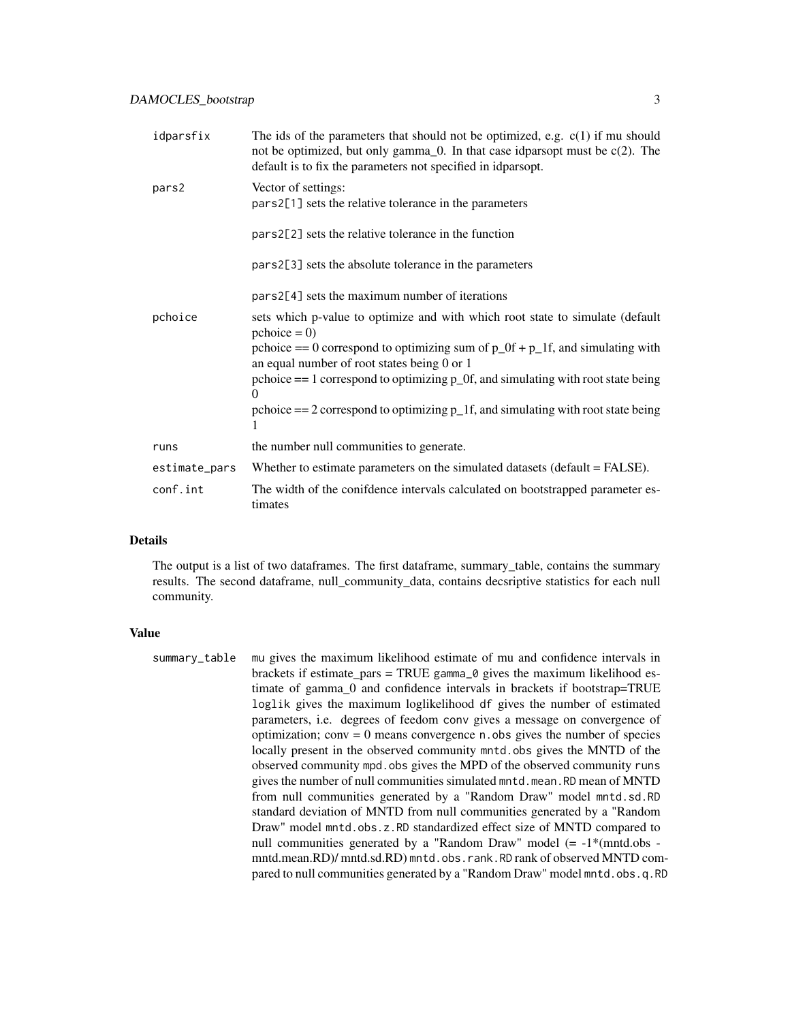| idparsfix     | The ids of the parameters that should not be optimized, e.g. $c(1)$ if mu should<br>not be optimized, but only gamma_0. In that case idparsopt must be $c(2)$ . The<br>default is to fix the parameters not specified in idparsopt. |
|---------------|-------------------------------------------------------------------------------------------------------------------------------------------------------------------------------------------------------------------------------------|
| pars2         | Vector of settings:<br>pars2[1] sets the relative tolerance in the parameters                                                                                                                                                       |
|               | pars2[2] sets the relative tolerance in the function                                                                                                                                                                                |
|               | pars2[3] sets the absolute tolerance in the parameters                                                                                                                                                                              |
|               | pars2[4] sets the maximum number of iterations                                                                                                                                                                                      |
| pchoice       | sets which p-value to optimize and with which root state to simulate (default<br>$\text{pchoice} = 0$<br>pchoice == 0 correspond to optimizing sum of $p_0$ f + $p_1$ f, and simulating with                                        |
|               | an equal number of root states being 0 or 1                                                                                                                                                                                         |
|               | pchoice $== 1$ correspond to optimizing $p_0$ . and simulating with root state being<br>$\theta$                                                                                                                                    |
|               | pchoice $== 2$ correspond to optimizing $p_1f$ , and simulating with root state being<br>1                                                                                                                                          |
| runs          | the number null communities to generate.                                                                                                                                                                                            |
| estimate_pars | Whether to estimate parameters on the simulated datasets (default = FALSE).                                                                                                                                                         |
| conf.int      | The width of the conifdence intervals calculated on bootstrapped parameter es-<br>timates                                                                                                                                           |

### Details

The output is a list of two dataframes. The first dataframe, summary\_table, contains the summary results. The second dataframe, null\_community\_data, contains decsriptive statistics for each null community.

#### Value

summary\_table mu gives the maximum likelihood estimate of mu and confidence intervals in brackets if estimate\_pars = TRUE gamma\_ $\theta$  gives the maximum likelihood estimate of gamma\_0 and confidence intervals in brackets if bootstrap=TRUE loglik gives the maximum loglikelihood df gives the number of estimated parameters, i.e. degrees of feedom conv gives a message on convergence of optimization; conv = 0 means convergence n.obs gives the number of species locally present in the observed community mntd.obs gives the MNTD of the observed community mpd.obs gives the MPD of the observed community runs gives the number of null communities simulated mntd.mean.RD mean of MNTD from null communities generated by a "Random Draw" model mntd.sd.RD standard deviation of MNTD from null communities generated by a "Random Draw" model mntd.obs.z.RD standardized effect size of MNTD compared to null communities generated by a "Random Draw" model (= -1\*(mntd.obs mntd.mean.RD)/mntd.sd.RD) mntd.obs.rank.RD rank of observed MNTD compared to null communities generated by a "Random Draw" model mntd.obs.q.RD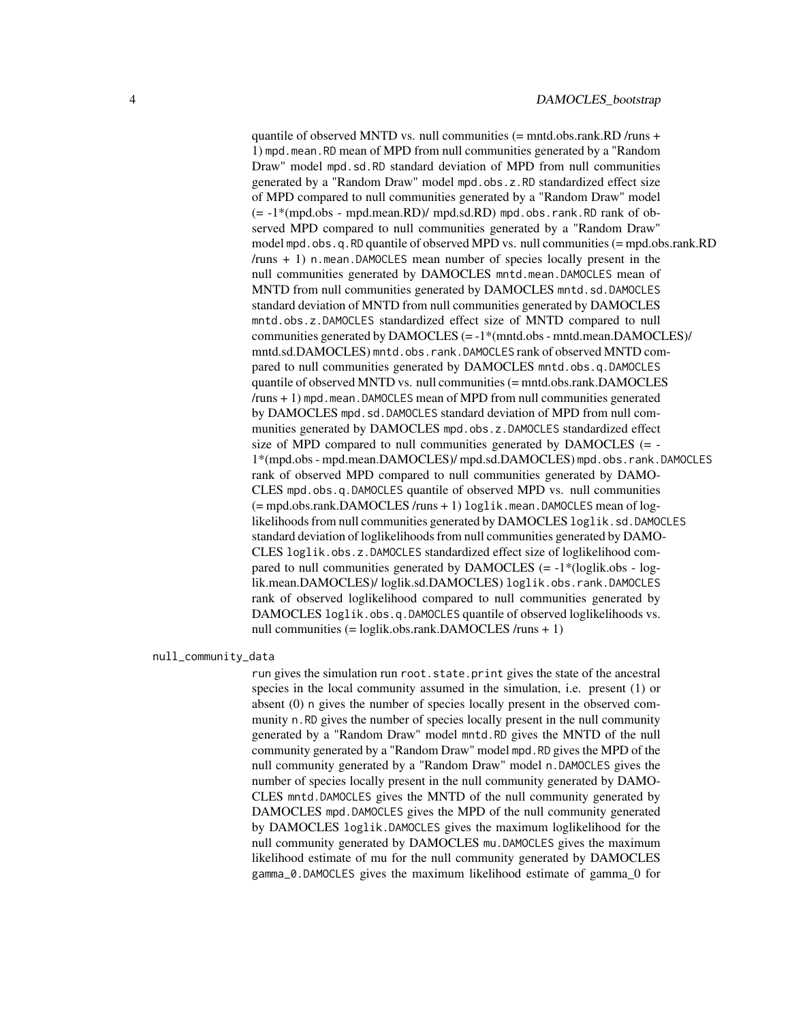quantile of observed MNTD vs. null communities (= mntd.obs.rank.RD /runs + 1) mpd.mean.RD mean of MPD from null communities generated by a "Random Draw" model mpd.sd.RD standard deviation of MPD from null communities generated by a "Random Draw" model mpd.obs.z.RD standardized effect size of MPD compared to null communities generated by a "Random Draw" model  $(= -1)$ <sup>\*</sup>(mpd.obs - mpd.mean.RD)/ mpd.sd.RD) mpd.obs.rank.RD rank of observed MPD compared to null communities generated by a "Random Draw" model mpd.obs.q.RD quantile of observed MPD vs. null communities (= mpd.obs.rank.RD  $/runs + 1$ ) n.mean.DAMOCLES mean number of species locally present in the null communities generated by DAMOCLES mntd.mean.DAMOCLES mean of MNTD from null communities generated by DAMOCLES mntd.sd.DAMOCLES standard deviation of MNTD from null communities generated by DAMOCLES mntd.obs.z.DAMOCLES standardized effect size of MNTD compared to null communities generated by DAMOCLES (= -1\*(mntd.obs - mntd.mean.DAMOCLES)/ mntd.sd.DAMOCLES) mntd.obs.rank.DAMOCLES rank of observed MNTD compared to null communities generated by DAMOCLES mntd.obs.q.DAMOCLES quantile of observed MNTD vs. null communities (= mntd.obs.rank.DAMOCLES  $/runs + 1$ ) mpd.mean.DAMOCLES mean of MPD from null communities generated by DAMOCLES mpd.sd.DAMOCLES standard deviation of MPD from null communities generated by DAMOCLES mpd.obs.z.DAMOCLES standardized effect size of MPD compared to null communities generated by DAMOCLES (= - 1\*(mpd.obs - mpd.mean.DAMOCLES)/ mpd.sd.DAMOCLES) mpd.obs.rank.DAMOCLES rank of observed MPD compared to null communities generated by DAMO-CLES mpd.obs.q.DAMOCLES quantile of observed MPD vs. null communities (= mpd.obs.rank.DAMOCLES /runs + 1) loglik.mean.DAMOCLES mean of loglikelihoods from null communities generated by DAMOCLES loglik.sd.DAMOCLES standard deviation of loglikelihoods from null communities generated by DAMO-CLES loglik.obs.z.DAMOCLES standardized effect size of loglikelihood compared to null communities generated by  $DAMOCLES$  (=  $-1*(loglik.obs - log$ lik.mean.DAMOCLES)/ loglik.sd.DAMOCLES) loglik.obs.rank.DAMOCLES rank of observed loglikelihood compared to null communities generated by DAMOCLES loglik.obs.q.DAMOCLES quantile of observed loglikelihoods vs. null communities (= loglik.obs.rank.DAMOCLES /runs + 1)

null\_community\_data

run gives the simulation run root.state.print gives the state of the ancestral species in the local community assumed in the simulation, i.e. present (1) or absent (0) n gives the number of species locally present in the observed community n.RD gives the number of species locally present in the null community generated by a "Random Draw" model mntd.RD gives the MNTD of the null community generated by a "Random Draw" model mpd.RD gives the MPD of the null community generated by a "Random Draw" model n.DAMOCLES gives the number of species locally present in the null community generated by DAMO-CLES mntd.DAMOCLES gives the MNTD of the null community generated by DAMOCLES mpd.DAMOCLES gives the MPD of the null community generated by DAMOCLES loglik.DAMOCLES gives the maximum loglikelihood for the null community generated by DAMOCLES mu.DAMOCLES gives the maximum likelihood estimate of mu for the null community generated by DAMOCLES gamma\_0.DAMOCLES gives the maximum likelihood estimate of gamma\_0 for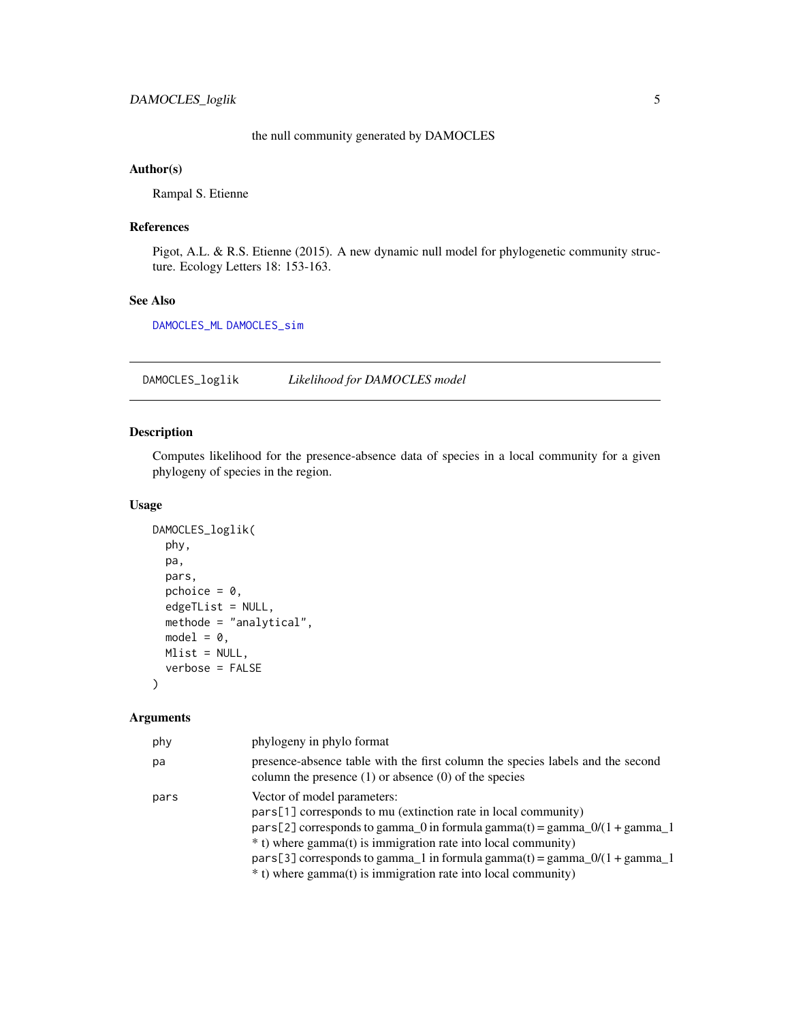## the null community generated by DAMOCLES

## <span id="page-4-0"></span>Author(s)

Rampal S. Etienne

## References

Pigot, A.L. & R.S. Etienne (2015). A new dynamic null model for phylogenetic community structure. Ecology Letters 18: 153-163.

## See Also

[DAMOCLES\\_ML](#page-6-1) [DAMOCLES\\_sim](#page-8-1)

<span id="page-4-1"></span>DAMOCLES\_loglik *Likelihood for DAMOCLES model*

## Description

Computes likelihood for the presence-absence data of species in a local community for a given phylogeny of species in the region.

## Usage

```
DAMOCLES_loglik(
  phy,
  pa,
 pars,
 pchoice = \theta,
  edgeTList = NULL,
 methode = "analytical",
 model = 0,
 Mlist = NULL,
  verbose = FALSE
)
```

| phy  | phylogeny in phylo format                                                                                                                                                                                                                                                                                                                                                                 |
|------|-------------------------------------------------------------------------------------------------------------------------------------------------------------------------------------------------------------------------------------------------------------------------------------------------------------------------------------------------------------------------------------------|
| pa   | presence-absence table with the first column the species labels and the second<br>column the presence $(1)$ or absence $(0)$ of the species                                                                                                                                                                                                                                               |
| pars | Vector of model parameters:<br>pars[1] corresponds to mu (extinction rate in local community)<br>pars[2] corresponds to gamma_0 in formula gamma(t) = gamma_0/(1 + gamma_1<br>* t) where gamma(t) is immigration rate into local community)<br>pars[3] corresponds to gamma_1 in formula gamma(t) = gamma_0/(1 + gamma_1<br>* t) where gamma(t) is immigration rate into local community) |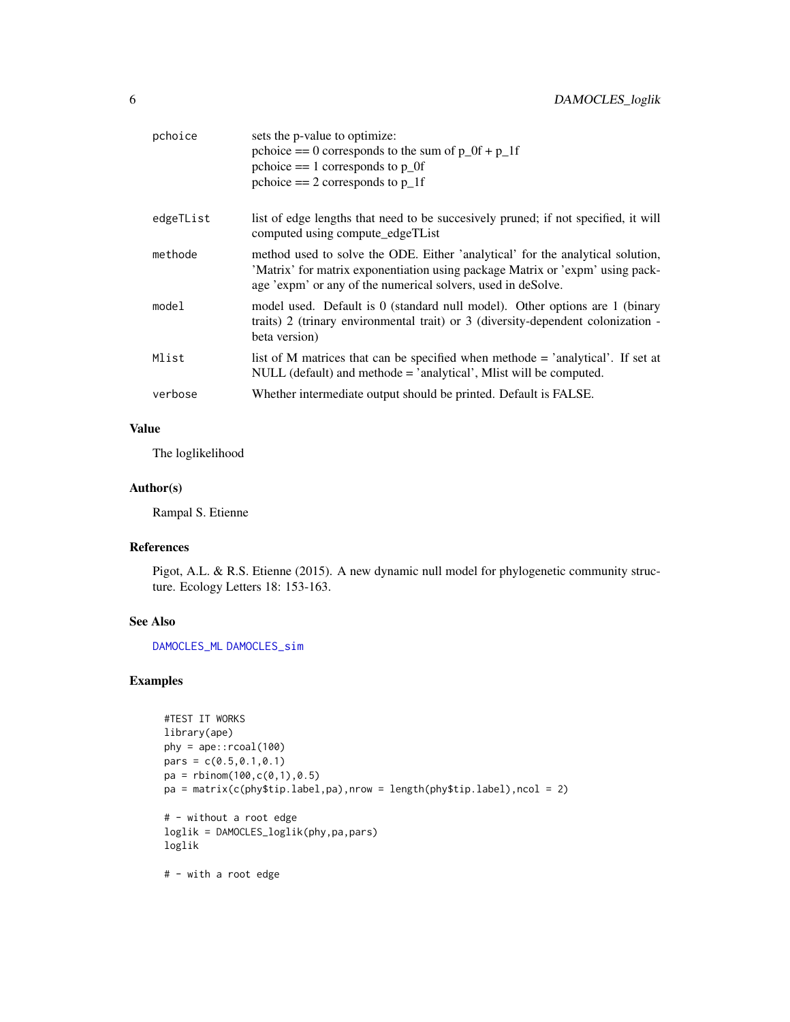<span id="page-5-0"></span>

| pchoice   | sets the p-value to optimize:<br>pchoice $== 0$ corresponds to the sum of $p_0 + p_1$ if<br>pchoice $== 1$ corresponds to $p_0$<br>pchoice $== 2$ corresponds to $p_1$ If                                                       |
|-----------|---------------------------------------------------------------------------------------------------------------------------------------------------------------------------------------------------------------------------------|
| edgeTList | list of edge lengths that need to be succesively pruned; if not specified, it will<br>computed using compute_edgeTList                                                                                                          |
| methode   | method used to solve the ODE. Either 'analytical' for the analytical solution,<br>'Matrix' for matrix exponentiation using package Matrix or 'expm' using pack-<br>age 'expm' or any of the numerical solvers, used in deSolve. |
| model     | model used. Default is 0 (standard null model). Other options are 1 (binary<br>traits) 2 (trinary environmental trait) or $3$ (diversity-dependent colonization -<br>beta version)                                              |
| Mlist     | list of M matrices that can be specified when methode $=$ 'analytical'. If set at<br>NULL (default) and methode $=$ 'analytical', Mlist will be computed.                                                                       |
| verbose   | Whether intermediate output should be printed. Default is FALSE.                                                                                                                                                                |

## Value

The loglikelihood

## Author(s)

Rampal S. Etienne

## References

Pigot, A.L. & R.S. Etienne (2015). A new dynamic null model for phylogenetic community structure. Ecology Letters 18: 153-163.

## See Also

[DAMOCLES\\_ML](#page-6-1) [DAMOCLES\\_sim](#page-8-1)

## Examples

```
#TEST IT WORKS
library(ape)
phy = ape::rcoal(100)
pars = c(0.5, 0.1, 0.1)pa = rbinom(100, c(0, 1), 0.5)pa = matrix(c(phy$tip.label,pa),nrow = length(phy$tip.label),ncol = 2)
# - without a root edge
loglik = DAMOCLES_loglik(phy,pa,pars)
loglik
# - with a root edge
```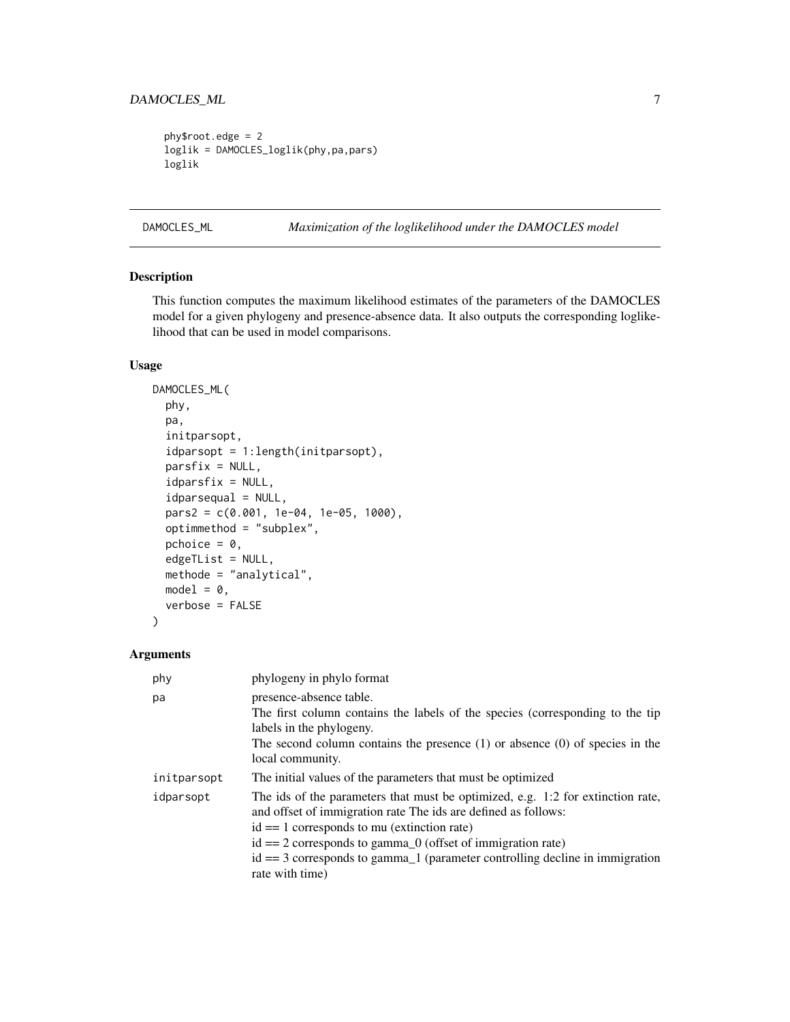```
phy$root.edge = 2
loglik = DAMOCLES_loglik(phy,pa,pars)
loglik
```
## <span id="page-6-1"></span>DAMOCLES\_ML *Maximization of the loglikelihood under the DAMOCLES model*

## Description

This function computes the maximum likelihood estimates of the parameters of the DAMOCLES model for a given phylogeny and presence-absence data. It also outputs the corresponding loglikelihood that can be used in model comparisons.

## Usage

```
DAMOCLES_ML(
  phy,
 pa,
  initparsopt,
  idparsopt = 1:length(initparsopt),
  parsfix = NULL,
  idparsfix = NULL,
  idparsequal = NULL,pars2 = c(0.001, 1e-04, 1e-05, 1000),
  optimmethod = "subplex",
  pchoice = 0,
  edgeTList = NULL,
  methode = "analytical",
 model = 0,
  verbose = FALSE
)
```

| phy         | phylogeny in phylo format                                                                                                                         |
|-------------|---------------------------------------------------------------------------------------------------------------------------------------------------|
| pa          | presence-absence table.                                                                                                                           |
|             | The first column contains the labels of the species (corresponding to the tip                                                                     |
|             | labels in the phylogeny.                                                                                                                          |
|             | The second column contains the presence $(1)$ or absence $(0)$ of species in the                                                                  |
|             | local community.                                                                                                                                  |
| initparsopt | The initial values of the parameters that must be optimized                                                                                       |
| idparsopt   | The ids of the parameters that must be optimized, e.g. 1:2 for extinction rate,<br>and offset of immigration rate The ids are defined as follows: |
|             | $id == 1$ corresponds to mu (extinction rate)                                                                                                     |
|             | $id == 2$ corresponds to gamma $_0$ (offset of immigration rate)                                                                                  |
|             | $id == 3$ corresponds to gamma $_1$ (parameter controlling decline in immigration                                                                 |
|             | rate with time)                                                                                                                                   |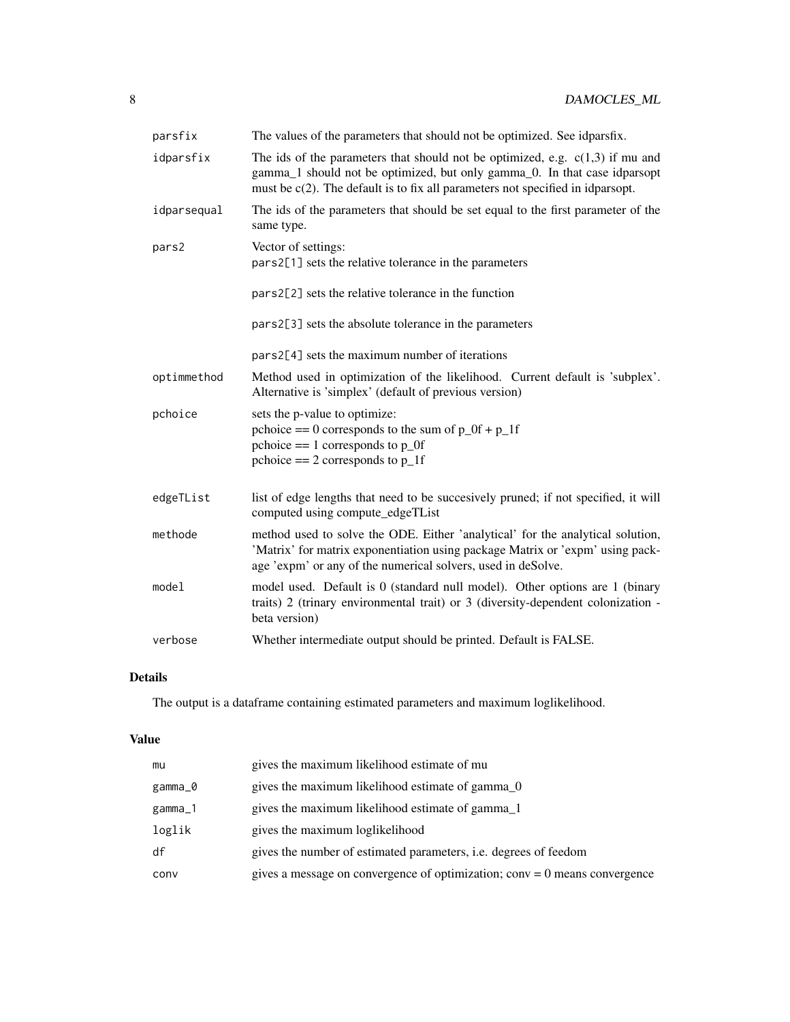| parsfix     | The values of the parameters that should not be optimized. See idparsfix.                                                                                                                                                                         |
|-------------|---------------------------------------------------------------------------------------------------------------------------------------------------------------------------------------------------------------------------------------------------|
| idparsfix   | The ids of the parameters that should not be optimized, e.g. $c(1,3)$ if mu and<br>gamma_1 should not be optimized, but only gamma_0. In that case idparsopt<br>must be $c(2)$ . The default is to fix all parameters not specified in idparsopt. |
| idparsequal | The ids of the parameters that should be set equal to the first parameter of the<br>same type.                                                                                                                                                    |
| pars2       | Vector of settings:<br>pars2[1] sets the relative tolerance in the parameters                                                                                                                                                                     |
|             | pars2[2] sets the relative tolerance in the function                                                                                                                                                                                              |
|             | pars2[3] sets the absolute tolerance in the parameters                                                                                                                                                                                            |
|             | pars2[4] sets the maximum number of iterations                                                                                                                                                                                                    |
| optimmethod | Method used in optimization of the likelihood. Current default is 'subplex'.<br>Alternative is 'simplex' (default of previous version)                                                                                                            |
| pchoice     | sets the p-value to optimize:<br>pchoice $== 0$ corresponds to the sum of $p_0$ of $+p_1$ if<br>pchoice $== 1$ corresponds to $p_0$<br>pchoice $== 2$ corresponds to $p_1$ f                                                                      |
| edgeTList   | list of edge lengths that need to be succesively pruned; if not specified, it will<br>computed using compute_edgeTList                                                                                                                            |
| methode     | method used to solve the ODE. Either 'analytical' for the analytical solution,<br>'Matrix' for matrix exponentiation using package Matrix or 'expm' using pack-<br>age 'expm' or any of the numerical solvers, used in deSolve.                   |
| model       | model used. Default is 0 (standard null model). Other options are 1 (binary<br>traits) 2 (trinary environmental trait) or 3 (diversity-dependent colonization -<br>beta version)                                                                  |
| verbose     | Whether intermediate output should be printed. Default is FALSE.                                                                                                                                                                                  |

## Details

The output is a dataframe containing estimated parameters and maximum loglikelihood.

## Value

| mu      | gives the maximum likelihood estimate of mu                                  |
|---------|------------------------------------------------------------------------------|
| gamma_0 | gives the maximum likelihood estimate of gamma_0                             |
| gamma_1 | gives the maximum likelihood estimate of gamma_1                             |
| loglik  | gives the maximum loglikelihood                                              |
| df      | gives the number of estimated parameters, <i>i.e.</i> degrees of feedom      |
| conv    | gives a message on convergence of optimization; $conv = 0$ means convergence |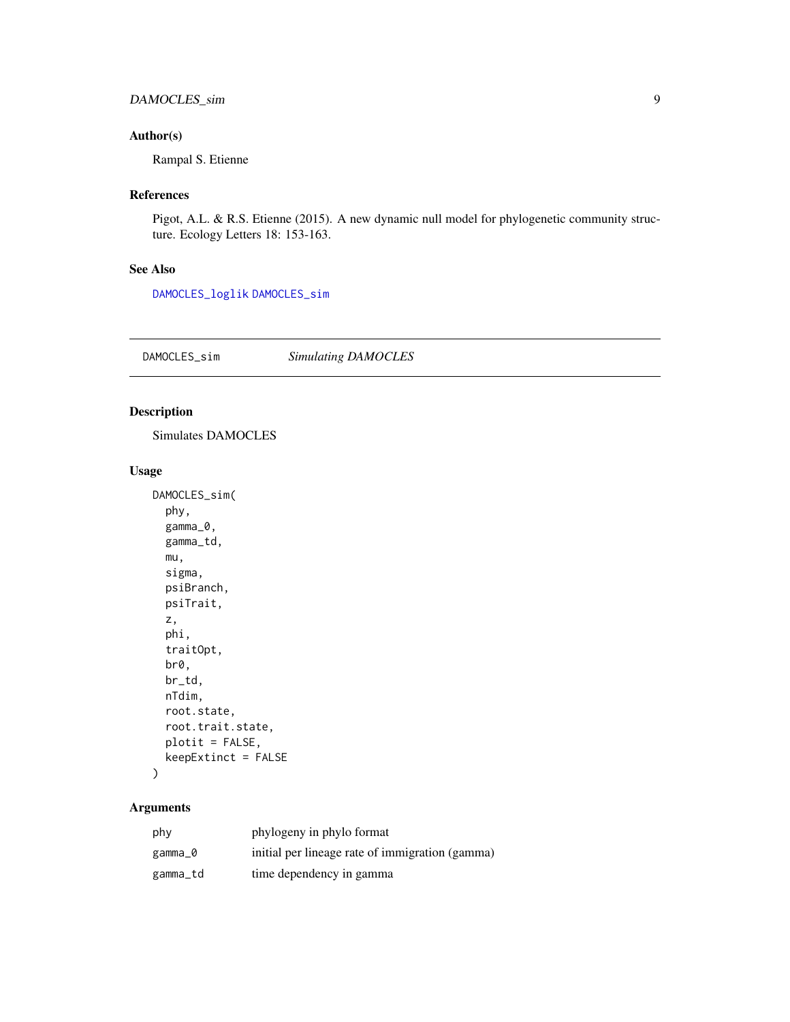## <span id="page-8-0"></span>DAMOCLES\_sim 9

## Author(s)

Rampal S. Etienne

## References

Pigot, A.L. & R.S. Etienne (2015). A new dynamic null model for phylogenetic community structure. Ecology Letters 18: 153-163.

## See Also

[DAMOCLES\\_loglik](#page-4-1) [DAMOCLES\\_sim](#page-8-1)

<span id="page-8-1"></span>DAMOCLES\_sim *Simulating DAMOCLES*

## Description

Simulates DAMOCLES

## Usage

```
DAMOCLES_sim(
  phy,
  gamma_0,
 gamma_td,
 mu,
  sigma,
 psiBranch,
 psiTrait,
 z,
 phi,
  traitOpt,
 br0,
 br_td,
 nTdim,
 root.state,
  root.trait.state,
 plotit = FALSE,
 keepExtinct = FALSE
```
## )

| phy      | phylogeny in phylo format                       |
|----------|-------------------------------------------------|
| gamma_0  | initial per lineage rate of immigration (gamma) |
| gamma_td | time dependency in gamma                        |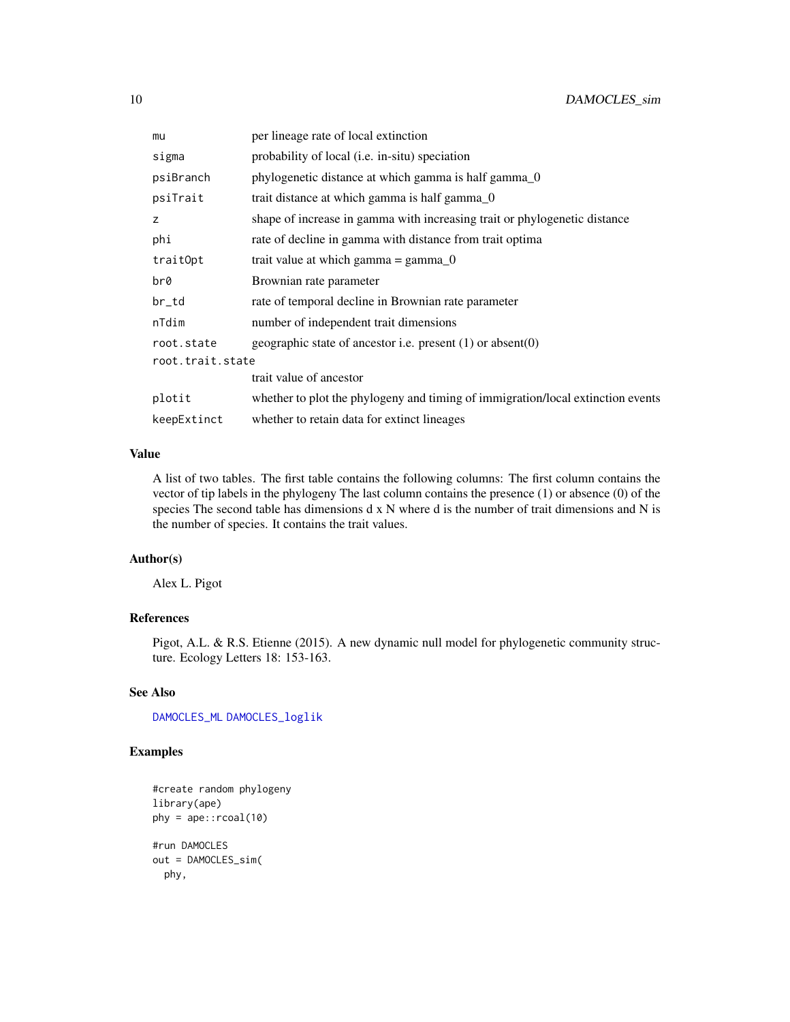<span id="page-9-0"></span>

| mu               | per lineage rate of local extinction                                            |
|------------------|---------------------------------------------------------------------------------|
| sigma            | probability of local ( <i>i.e.</i> in-situ) speciation                          |
| psiBranch        | phylogenetic distance at which gamma is half gamma_0                            |
| psiTrait         | trait distance at which gamma is half gamma_0                                   |
| z                | shape of increase in gamma with increasing trait or phylogenetic distance       |
| phi              | rate of decline in gamma with distance from trait optima                        |
| trait0pt         | trait value at which gamma $=$ gamma 0                                          |
| br0              | Brownian rate parameter                                                         |
| br_td            | rate of temporal decline in Brownian rate parameter                             |
| nTdim            | number of independent trait dimensions                                          |
| root.state       | geographic state of ancestor i.e. present $(1)$ or absent $(0)$                 |
| root.trait.state |                                                                                 |
|                  | trait value of ancestor                                                         |
| plotit           | whether to plot the phylogeny and timing of immigration/local extinction events |
| keepExtinct      | whether to retain data for extinct lineages                                     |

## Value

A list of two tables. The first table contains the following columns: The first column contains the vector of tip labels in the phylogeny The last column contains the presence (1) or absence (0) of the species The second table has dimensions d x N where d is the number of trait dimensions and N is the number of species. It contains the trait values.

### Author(s)

Alex L. Pigot

## References

Pigot, A.L. & R.S. Etienne (2015). A new dynamic null model for phylogenetic community structure. Ecology Letters 18: 153-163.

## See Also

[DAMOCLES\\_ML](#page-6-1) [DAMOCLES\\_loglik](#page-4-1)

## Examples

```
#create random phylogeny
library(ape)
phy = ape::rcoal(10)
#run DAMOCLES
out = DAMOCLES_sim(
  phy,
```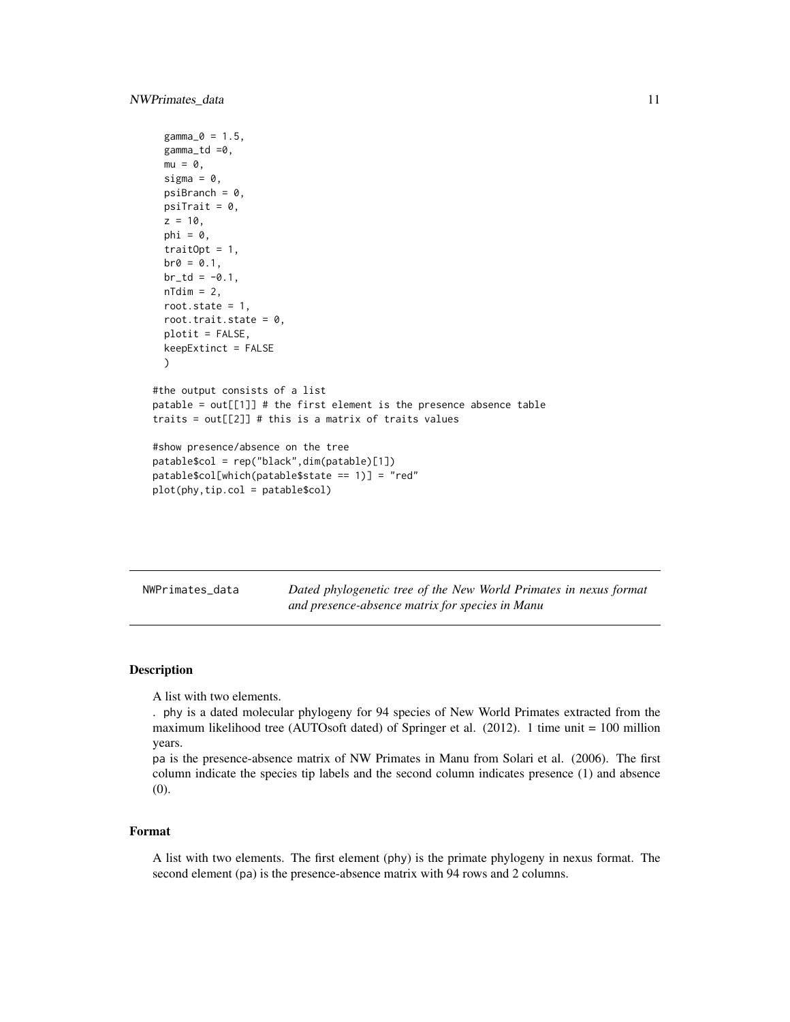```
gamma_0 = 1.5,
 gamma_td =0,
 mu = 0,
 sigma = 0,
 psilon = 0,
 psiTrait = 0,
 z = 10,
 phi = \theta,
 traitOpt = 1,
 b r \theta = 0.1,
 br_t = -0.1,
 nTdim = 2,
 root.state = 1,
 root.trait.state = 0,
 plotit = FALSE,
 keepExtinct = FALSE
 )
#the output consists of a list
patable = out[[1]] # the first element is the presence absence table
traits = out[[2]] # this is a matrix of traits values
#show presence/absence on the tree
patable$col = rep("black",dim(patable)[1])
patable$col[which(patable$state == 1)] = "red"
plot(phy,tip.col = patable$col)
```
NWPrimates\_data *Dated phylogenetic tree of the New World Primates in nexus format and presence-absence matrix for species in Manu*

### Description

A list with two elements.

. phy is a dated molecular phylogeny for 94 species of New World Primates extracted from the maximum likelihood tree (AUTOsoft dated) of Springer et al. (2012). 1 time unit = 100 million years.

pa is the presence-absence matrix of NW Primates in Manu from Solari et al. (2006). The first column indicate the species tip labels and the second column indicates presence (1) and absence (0).

#### Format

A list with two elements. The first element (phy) is the primate phylogeny in nexus format. The second element (pa) is the presence-absence matrix with 94 rows and 2 columns.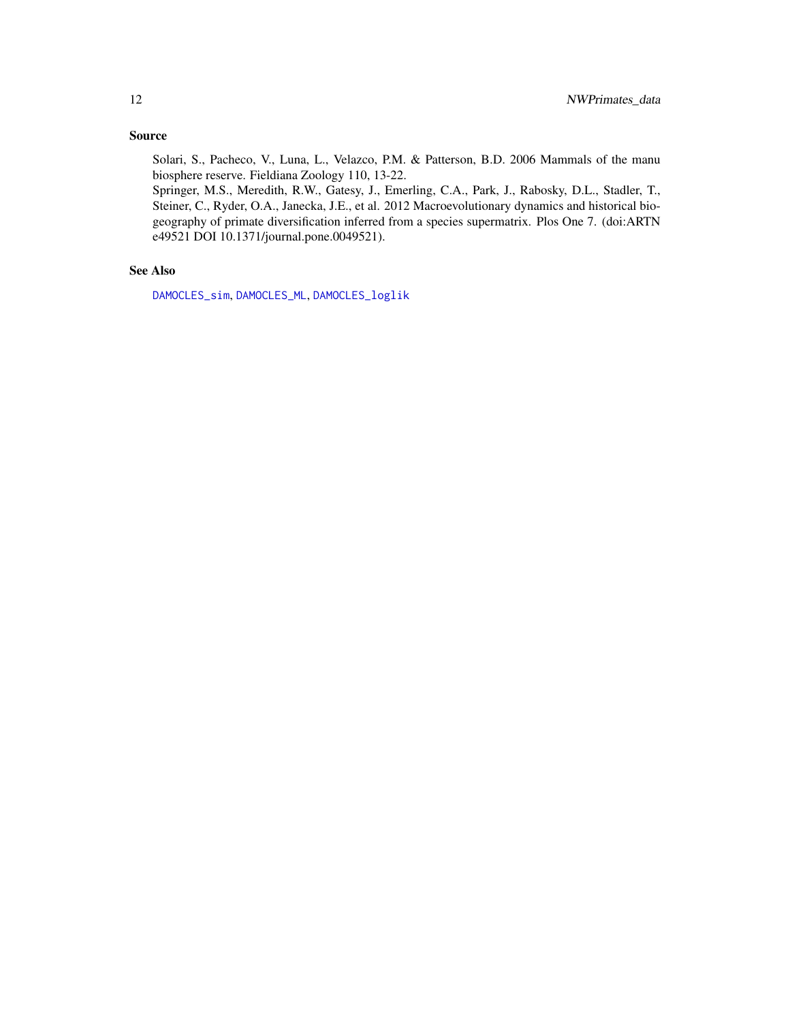## <span id="page-11-0"></span>Source

Solari, S., Pacheco, V., Luna, L., Velazco, P.M. & Patterson, B.D. 2006 Mammals of the manu biosphere reserve. Fieldiana Zoology 110, 13-22.

Springer, M.S., Meredith, R.W., Gatesy, J., Emerling, C.A., Park, J., Rabosky, D.L., Stadler, T., Steiner, C., Ryder, O.A., Janecka, J.E., et al. 2012 Macroevolutionary dynamics and historical biogeography of primate diversification inferred from a species supermatrix. Plos One 7. (doi:ARTN e49521 DOI 10.1371/journal.pone.0049521).

## See Also

[DAMOCLES\\_sim](#page-8-1), [DAMOCLES\\_ML](#page-6-1), [DAMOCLES\\_loglik](#page-4-1)